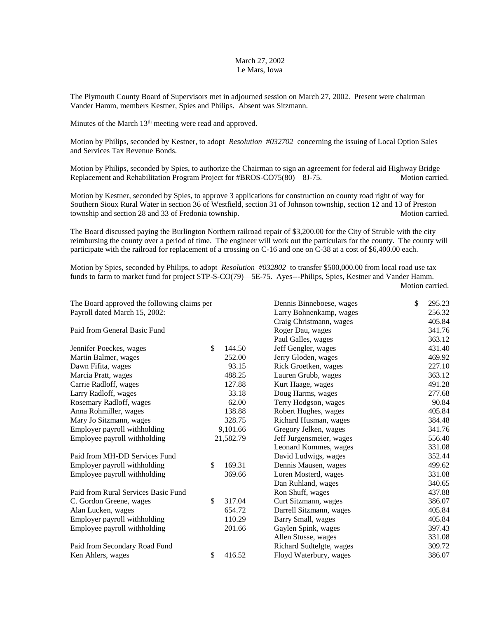## March 27, 2002 Le Mars, Iowa

The Plymouth County Board of Supervisors met in adjourned session on March 27, 2002. Present were chairman Vander Hamm, members Kestner, Spies and Philips. Absent was Sitzmann.

Minutes of the March 13<sup>th</sup> meeting were read and approved.

Motion by Philips, seconded by Kestner, to adopt *Resolution #032702* concerning the issuing of Local Option Sales and Services Tax Revenue Bonds.

Motion by Philips, seconded by Spies, to authorize the Chairman to sign an agreement for federal aid Highway Bridge Replacement and Rehabilitation Program Project for #BROS-CO75(80)—8J-75. Motion carried.

Motion by Kestner, seconded by Spies, to approve 3 applications for construction on county road right of way for Southern Sioux Rural Water in section 36 of Westfield, section 31 of Johnson township, section 12 and 13 of Preston township and section 28 and 33 of Fredonia township. Motion carried. Motion carried.

The Board discussed paying the Burlington Northern railroad repair of \$3,200.00 for the City of Struble with the city reimbursing the county over a period of time. The engineer will work out the particulars for the county. The county will participate with the railroad for replacement of a crossing on C-16 and one on C-38 at a cost of \$6,400.00 each.

Motion by Spies, seconded by Philips, to adopt *Resolution #032802* to transfer \$500,000.00 from local road use tax funds to farm to market fund for project STP-S-CO(79)—5E-75. Ayes---Philips, Spies, Kestner and Vander Hamm.

Motion carried.

| The Board approved the following claims per |           |          | Dennis Binneboese, wages | \$<br>295.23 |
|---------------------------------------------|-----------|----------|--------------------------|--------------|
| Payroll dated March 15, 2002:               |           |          | Larry Bohnenkamp, wages  | 256.32       |
|                                             |           |          | Craig Christmann, wages  | 405.84       |
| Paid from General Basic Fund                |           |          | Roger Dau, wages         | 341.76       |
|                                             |           |          | Paul Galles, wages       | 363.12       |
| Jennifer Poeckes, wages                     | \$        | 144.50   | Jeff Gengler, wages      | 431.40       |
| Martin Balmer, wages                        |           | 252.00   | Jerry Gloden, wages      | 469.92       |
| Dawn Fifita, wages                          |           | 93.15    | Rick Groetken, wages     | 227.10       |
| Marcia Pratt, wages                         |           | 488.25   | Lauren Grubb, wages      | 363.12       |
| Carrie Radloff, wages                       |           | 127.88   | Kurt Haage, wages        | 491.28       |
| Larry Radloff, wages                        |           | 33.18    | Doug Harms, wages        | 277.68       |
| Rosemary Radloff, wages                     |           | 62.00    | Terry Hodgson, wages     | 90.84        |
| Anna Rohmiller, wages                       |           | 138.88   | Robert Hughes, wages     | 405.84       |
| Mary Jo Sitzmann, wages                     |           | 328.75   | Richard Husman, wages    | 384.48       |
| Employer payroll withholding                |           | 9,101.66 | Gregory Jelken, wages    | 341.76       |
| Employee payroll withholding                | 21,582.79 |          | Jeff Jurgensmeier, wages | 556.40       |
|                                             |           |          | Leonard Kommes, wages    | 331.08       |
| Paid from MH-DD Services Fund               |           |          | David Ludwigs, wages     | 352.44       |
| Employer payroll withholding                | \$        | 169.31   | Dennis Mausen, wages     | 499.62       |
| Employee payroll withholding                |           | 369.66   | Loren Mosterd, wages     | 331.08       |
|                                             |           |          | Dan Ruhland, wages       | 340.65       |
| Paid from Rural Services Basic Fund         |           |          | Ron Shuff, wages         | 437.88       |
| C. Gordon Greene, wages                     | \$        | 317.04   | Curt Sitzmann, wages     | 386.07       |
| Alan Lucken, wages                          |           | 654.72   | Darrell Sitzmann, wages  | 405.84       |
| Employer payroll withholding                |           | 110.29   | Barry Small, wages       | 405.84       |
| Employee payroll withholding                |           | 201.66   | Gaylen Spink, wages      | 397.43       |
|                                             |           |          | Allen Stusse, wages      | 331.08       |
| Paid from Secondary Road Fund               |           |          | Richard Sudtelgte, wages | 309.72       |
| Ken Ahlers, wages                           | \$        | 416.52   | Floyd Waterbury, wages   | 386.07       |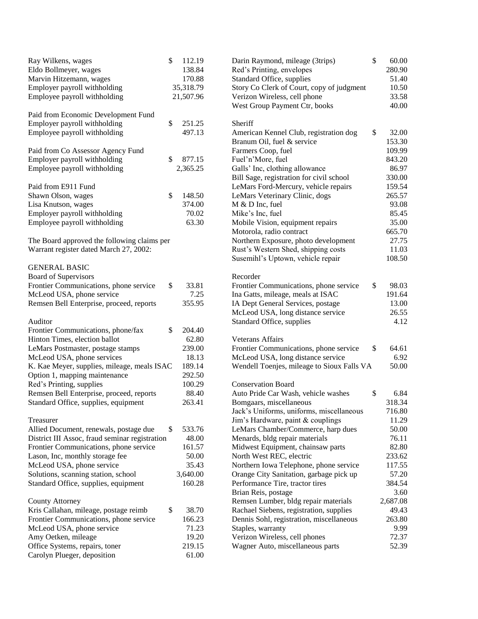| Ray Wilkens, wages<br>Eldo Bollmeyer, wages<br>Marvin Hitzemann, wages<br>Employer payroll withholding<br>Employee payroll withholding<br>Paid from Economic Development Fund | \$<br>112.19<br>138.84<br>170.88<br>35,318.79<br>21,507.96 | Darin Raymond, mileage (3trips)<br>Red's Printing, envelopes<br>Standard Office, supplies<br>Story Co Clerk of Court, copy of judgment<br>Verizon Wireless, cell phone<br>West Group Payment Ctr, books | \$<br>60.00<br>280.90<br>51.40<br>10.50<br>33.58<br>40.00 |
|-------------------------------------------------------------------------------------------------------------------------------------------------------------------------------|------------------------------------------------------------|---------------------------------------------------------------------------------------------------------------------------------------------------------------------------------------------------------|-----------------------------------------------------------|
| Employer payroll withholding                                                                                                                                                  | \$<br>251.25                                               | Sheriff                                                                                                                                                                                                 |                                                           |
| Employee payroll withholding                                                                                                                                                  | 497.13                                                     | American Kennel Club, registration dog<br>Branum Oil, fuel & service                                                                                                                                    | \$<br>32.00<br>153.30                                     |
| Paid from Co Assessor Agency Fund                                                                                                                                             |                                                            | Farmers Coop, fuel                                                                                                                                                                                      | 109.99                                                    |
| Employer payroll withholding                                                                                                                                                  | \$<br>877.15                                               | Fuel'n'More, fuel                                                                                                                                                                                       | 843.20                                                    |
| Employee payroll withholding                                                                                                                                                  | 2,365.25                                                   | Galls' Inc, clothing allowance<br>Bill Sage, registration for civil school                                                                                                                              | 86.97<br>330.00                                           |
| Paid from E911 Fund                                                                                                                                                           |                                                            | LeMars Ford-Mercury, vehicle repairs                                                                                                                                                                    | 159.54                                                    |
| Shawn Olson, wages                                                                                                                                                            | \$<br>148.50                                               | LeMars Veterinary Clinic, dogs                                                                                                                                                                          | 265.57                                                    |
| Lisa Knutson, wages                                                                                                                                                           | 374.00                                                     | M & D Inc, fuel                                                                                                                                                                                         | 93.08                                                     |
| Employer payroll withholding                                                                                                                                                  | 70.02                                                      | Mike's Inc, fuel                                                                                                                                                                                        | 85.45                                                     |
| Employee payroll withholding                                                                                                                                                  | 63.30                                                      | Mobile Vision, equipment repairs                                                                                                                                                                        | 35.00                                                     |
|                                                                                                                                                                               |                                                            | Motorola, radio contract                                                                                                                                                                                | 665.70                                                    |
| The Board approved the following claims per                                                                                                                                   |                                                            | Northern Exposure, photo development                                                                                                                                                                    | 27.75                                                     |
| Warrant register dated March 27, 2002:                                                                                                                                        |                                                            | Rust's Western Shed, shipping costs                                                                                                                                                                     | 11.03                                                     |
|                                                                                                                                                                               |                                                            | Susemihl's Uptown, vehicle repair                                                                                                                                                                       | 108.50                                                    |
| <b>GENERAL BASIC</b>                                                                                                                                                          |                                                            |                                                                                                                                                                                                         |                                                           |
| Board of Supervisors                                                                                                                                                          |                                                            | Recorder                                                                                                                                                                                                |                                                           |
| Frontier Communications, phone service                                                                                                                                        | \$<br>33.81                                                | Frontier Communications, phone service                                                                                                                                                                  | \$<br>98.03                                               |
| McLeod USA, phone service                                                                                                                                                     | 7.25                                                       | Ina Gatts, mileage, meals at ISAC                                                                                                                                                                       | 191.64                                                    |
| Remsen Bell Enterprise, proceed, reports                                                                                                                                      | 355.95                                                     | IA Dept General Services, postage                                                                                                                                                                       | 13.00                                                     |
|                                                                                                                                                                               |                                                            | McLeod USA, long distance service                                                                                                                                                                       | 26.55                                                     |
| Auditor                                                                                                                                                                       |                                                            | Standard Office, supplies                                                                                                                                                                               | 4.12                                                      |
| Frontier Communications, phone/fax                                                                                                                                            | \$<br>204.40                                               |                                                                                                                                                                                                         |                                                           |
| Hinton Times, election ballot                                                                                                                                                 | 62.80                                                      | Veterans Affairs                                                                                                                                                                                        |                                                           |
| LeMars Postmaster, postage stamps                                                                                                                                             | 239.00                                                     | Frontier Communications, phone service                                                                                                                                                                  | \$<br>64.61                                               |
| McLeod USA, phone services                                                                                                                                                    | 18.13                                                      | McLeod USA, long distance service                                                                                                                                                                       | 6.92                                                      |
| K. Kae Meyer, supplies, mileage, meals ISAC                                                                                                                                   | 189.14                                                     | Wendell Toenjes, mileage to Sioux Falls VA                                                                                                                                                              | 50.00                                                     |
| Option 1, mapping maintenance                                                                                                                                                 | 292.50                                                     |                                                                                                                                                                                                         |                                                           |
| Red's Printing, supplies                                                                                                                                                      | 100.29                                                     | <b>Conservation Board</b>                                                                                                                                                                               |                                                           |
| Remsen Bell Enterprise, proceed, reports                                                                                                                                      | 88.40                                                      | Auto Pride Car Wash, vehicle washes                                                                                                                                                                     | \$<br>6.84                                                |
| Standard Office, supplies, equipment                                                                                                                                          | 263.41                                                     | Bomgaars, miscellaneous                                                                                                                                                                                 | 318.34                                                    |
|                                                                                                                                                                               |                                                            | Jack's Uniforms, uniforms, miscellaneous                                                                                                                                                                | 716.80                                                    |
| Treasurer                                                                                                                                                                     |                                                            | Jim's Hardware, paint & couplings                                                                                                                                                                       | 11.29                                                     |
| Allied Document, renewals, postage due                                                                                                                                        | \$<br>533.76                                               | LeMars Chamber/Commerce, harp dues                                                                                                                                                                      | 50.00                                                     |
| District III Assoc, fraud seminar registration                                                                                                                                | 48.00                                                      | Menards, bldg repair materials                                                                                                                                                                          | 76.11                                                     |
| Frontier Communications, phone service                                                                                                                                        | 161.57                                                     | Midwest Equipment, chainsaw parts                                                                                                                                                                       | 82.80                                                     |
| Lason, Inc, monthly storage fee                                                                                                                                               | 50.00                                                      | North West REC, electric                                                                                                                                                                                | 233.62                                                    |
| McLeod USA, phone service                                                                                                                                                     | 35.43                                                      | Northern Iowa Telephone, phone service                                                                                                                                                                  | 117.55                                                    |
| Solutions, scanning station, school                                                                                                                                           | 3,640.00                                                   | Orange City Sanitation, garbage pick up                                                                                                                                                                 | 57.20                                                     |
| Standard Office, supplies, equipment                                                                                                                                          | 160.28                                                     | Performance Tire, tractor tires                                                                                                                                                                         | 384.54                                                    |
|                                                                                                                                                                               |                                                            | Brian Reis, postage                                                                                                                                                                                     | 3.60<br>2,687.08                                          |
| County Attorney<br>Kris Callahan, mileage, postage reimb                                                                                                                      | \$<br>38.70                                                | Remsen Lumber, bldg repair materials<br>Rachael Siebens, registration, supplies                                                                                                                         | 49.43                                                     |
| Frontier Communications, phone service                                                                                                                                        | 166.23                                                     | Dennis Sohl, registration, miscellaneous                                                                                                                                                                | 263.80                                                    |
| McLeod USA, phone service                                                                                                                                                     | 71.23                                                      | Staples, warranty                                                                                                                                                                                       | 9.99                                                      |
| Amy Oetken, mileage                                                                                                                                                           | 19.20                                                      | Verizon Wireless, cell phones                                                                                                                                                                           | 72.37                                                     |
| Office Systems, repairs, toner                                                                                                                                                | 219.15                                                     | Wagner Auto, miscellaneous parts                                                                                                                                                                        | 52.39                                                     |
| Carolyn Plueger, deposition                                                                                                                                                   | 61.00                                                      |                                                                                                                                                                                                         |                                                           |
|                                                                                                                                                                               |                                                            |                                                                                                                                                                                                         |                                                           |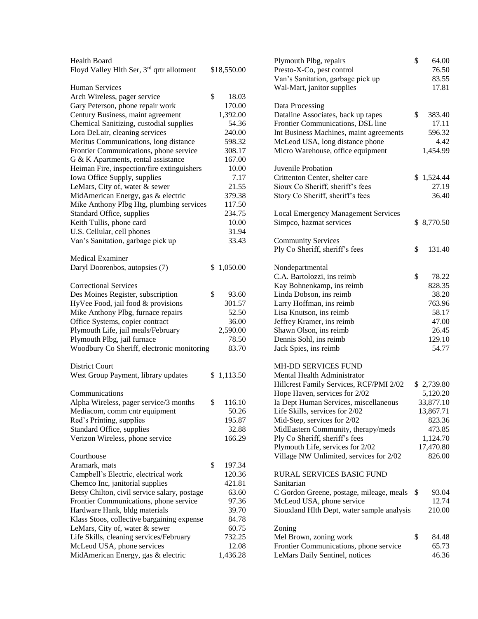| Health Board                                          |             |          | Plymouth Plbg, repairs                      | \$<br>64.00  |
|-------------------------------------------------------|-------------|----------|---------------------------------------------|--------------|
| Floyd Valley Hlth Ser, 3 <sup>rd</sup> qrtr allotment | \$18,550.00 |          | Presto-X-Co, pest control                   | 76.50        |
|                                                       |             |          | Van's Sanitation, garbage pick up           | 83.55        |
| <b>Human Services</b>                                 |             |          | Wal-Mart, janitor supplies                  | 17.81        |
| Arch Wireless, pager service                          | \$          | 18.03    |                                             |              |
| Gary Peterson, phone repair work                      |             | 170.00   | Data Processing                             |              |
| Century Business, maint agreement                     |             | 1,392.00 | Dataline Associates, back up tapes          | \$<br>383.40 |
| Chemical Sanitizing, custodial supplies               |             | 54.36    | Frontier Communications, DSL line           | 17.11        |
| Lora DeLair, cleaning services                        |             | 240.00   | Int Business Machines, maint agreements     | 596.32       |
| Meritus Communications, long distance                 |             | 598.32   | McLeod USA, long distance phone             | 4.42         |
| Frontier Communications, phone service                |             | 308.17   | Micro Warehouse, office equipment           | 1,454.99     |
| G & K Apartments, rental assistance                   |             | 167.00   |                                             |              |
| Heiman Fire, inspection/fire extinguishers            |             | 10.00    | Juvenile Probation                          |              |
| Iowa Office Supply, supplies                          |             | 7.17     | Crittenton Center, shelter care             | \$1,524.44   |
| LeMars, City of, water & sewer                        |             | 21.55    | Sioux Co Sheriff, sheriff's fees            | 27.19        |
| MidAmerican Energy, gas & electric                    |             | 379.38   | Story Co Sheriff, sheriff's fees            | 36.40        |
| Mike Anthony Plbg Htg, plumbing services              |             | 117.50   |                                             |              |
| Standard Office, supplies                             |             | 234.75   | <b>Local Emergency Management Services</b>  |              |
| Keith Tullis, phone card                              |             | 10.00    | Simpco, hazmat services                     | \$8,770.50   |
|                                                       |             |          |                                             |              |
| U.S. Cellular, cell phones                            |             | 31.94    |                                             |              |
| Van's Sanitation, garbage pick up                     |             | 33.43    | <b>Community Services</b>                   |              |
|                                                       |             |          | Ply Co Sheriff, sheriff's fees              | \$<br>131.40 |
| <b>Medical Examiner</b>                               |             |          |                                             |              |
| Daryl Doorenbos, autopsies (7)                        | \$1,050.00  |          | Nondepartmental                             |              |
|                                                       |             |          | C.A. Bartolozzi, ins reimb                  | \$<br>78.22  |
| <b>Correctional Services</b>                          |             |          | Kay Bohnenkamp, ins reimb                   | 828.35       |
| Des Moines Register, subscription                     | \$          | 93.60    | Linda Dobson, ins reimb                     | 38.20        |
| HyVee Food, jail food & provisions                    |             | 301.57   | Larry Hoffman, ins reimb                    | 763.96       |
| Mike Anthony Plbg, furnace repairs                    |             | 52.50    | Lisa Knutson, ins reimb                     | 58.17        |
| Office Systems, copier contract                       |             | 36.00    | Jeffrey Kramer, ins reimb                   | 47.00        |
| Plymouth Life, jail meals/February                    |             | 2,590.00 | Shawn Olson, ins reimb                      | 26.45        |
| Plymouth Plbg, jail furnace                           |             | 78.50    | Dennis Sohl, ins reimb                      | 129.10       |
| Woodbury Co Sheriff, electronic monitoring            |             | 83.70    | Jack Spies, ins reimb                       | 54.77        |
|                                                       |             |          |                                             |              |
| <b>District Court</b>                                 |             |          | MH-DD SERVICES FUND                         |              |
| West Group Payment, library updates                   | \$1,113.50  |          | Mental Health Administrator                 |              |
|                                                       |             |          | Hillcrest Family Services, RCF/PMI 2/02     | \$2,739.80   |
| Communications                                        |             |          | Hope Haven, services for 2/02               | 5,120.20     |
| Alpha Wireless, pager service/3 months                | \$          | 116.10   | Ia Dept Human Services, miscellaneous       | 33,877.10    |
| Mediacom, comm cntr equipment                         |             | 50.26    | Life Skills, services for 2/02              | 13,867.71    |
| Red's Printing, supplies                              |             | 195.87   | Mid-Step, services for 2/02                 | 823.36       |
| Standard Office, supplies                             |             | 32.88    | MidEastern Community, therapy/meds          | 473.85       |
| Verizon Wireless, phone service                       |             | 166.29   | Ply Co Sheriff, sheriff's fees              | 1,124.70     |
|                                                       |             |          | Plymouth Life, services for 2/02            | 17,470.80    |
| Courthouse                                            |             |          | Village NW Unlimited, services for 2/02     | 826.00       |
| Aramark, mats                                         | \$          | 197.34   |                                             |              |
| Campbell's Electric, electrical work                  |             | 120.36   | RURAL SERVICES BASIC FUND                   |              |
| Chemco Inc, janitorial supplies                       |             | 421.81   | Sanitarian                                  |              |
| Betsy Chilton, civil service salary, postage          |             | 63.60    | C Gordon Greene, postage, mileage, meals \$ | 93.04        |
| Frontier Communications, phone service                |             | 97.36    | McLeod USA, phone service                   | 12.74        |
| Hardware Hank, bldg materials                         |             | 39.70    | Siouxland Hlth Dept, water sample analysis  | 210.00       |
| Klass Stoos, collective bargaining expense            |             | 84.78    |                                             |              |
| LeMars, City of, water & sewer                        |             | 60.75    | Zoning                                      |              |
| Life Skills, cleaning services/February               |             | 732.25   | Mel Brown, zoning work                      | \$<br>84.48  |
| McLeod USA, phone services                            |             | 12.08    | Frontier Communications, phone service      | 65.73        |
| MidAmerican Energy, gas & electric                    |             | 1,436.28 | LeMars Daily Sentinel, notices              | 46.36        |
|                                                       |             |          |                                             |              |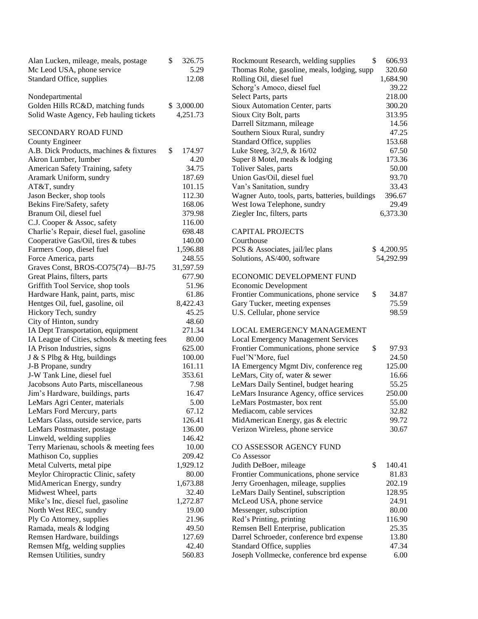| Alan Lucken, mileage, meals, postage        | \$<br>326.75 | Rockmount Research, welding supplies            | \$<br>606.93 |
|---------------------------------------------|--------------|-------------------------------------------------|--------------|
| Mc Leod USA, phone service                  | 5.29         | Thomas Rohe, gasoline, meals, lodging, supp     | 320.60       |
| Standard Office, supplies                   | 12.08        | Rolling Oil, diesel fuel                        | 1,684.90     |
|                                             |              | Schorg's Amoco, diesel fuel                     | 39.22        |
| Nondepartmental                             |              | Select Parts, parts                             | 218.00       |
| Golden Hills RC&D, matching funds           | \$3,000.00   | Sioux Automation Center, parts                  | 300.20       |
| Solid Waste Agency, Feb hauling tickets     | 4,251.73     | Sioux City Bolt, parts                          | 313.95       |
|                                             |              | Darrell Sitzmann, mileage                       | 14.56        |
| <b>SECONDARY ROAD FUND</b>                  |              | Southern Sioux Rural, sundry                    | 47.25        |
| County Engineer                             |              | Standard Office, supplies                       | 153.68       |
| A.B. Dick Products, machines & fixtures     | \$<br>174.97 | Luke Steeg, 3/2,9, & 16/02                      | 67.50        |
| Akron Lumber, lumber                        | 4.20         | Super 8 Motel, meals & lodging                  | 173.36       |
| American Safety Training, safety            | 34.75        | Toliver Sales, parts                            | 50.00        |
| Aramark Uniform, sundry                     | 187.69       | Union Gas/Oil, diesel fuel                      | 93.70        |
| AT&T, sundry                                | 101.15       | Van's Sanitation, sundry                        | 33.43        |
| Jason Becker, shop tools                    | 112.30       | Wagner Auto, tools, parts, batteries, buildings | 396.67       |
| Bekins Fire/Safety, safety                  | 168.06       | West Iowa Telephone, sundry                     | 29.49        |
| Branum Oil, diesel fuel                     | 379.98       | Ziegler Inc, filters, parts                     | 6,373.30     |
| C.J. Cooper & Assoc, safety                 | 116.00       |                                                 |              |
| Charlie's Repair, diesel fuel, gasoline     | 698.48       | <b>CAPITAL PROJECTS</b>                         |              |
| Cooperative Gas/Oil, tires & tubes          | 140.00       | Courthouse                                      |              |
| Farmers Coop, diesel fuel                   | 1,596.88     | PCS & Associates, jail/lec plans                | \$4,200.95   |
| Force America, parts                        | 248.55       | Solutions, AS/400, software                     | 54,292.99    |
| Graves Const, BROS-CO75(74)-BJ-75           | 31,597.59    |                                                 |              |
| Great Plains, filters, parts                | 677.90       | ECONOMIC DEVELOPMENT FUND                       |              |
|                                             | 51.96        |                                                 |              |
| Griffith Tool Service, shop tools           |              | Economic Development                            | \$<br>34.87  |
| Hardware Hank, paint, parts, misc           | 61.86        | Frontier Communications, phone service          |              |
| Hentges Oil, fuel, gasoline, oil            | 8,422.43     | Gary Tucker, meeting expenses                   | 75.59        |
| Hickory Tech, sundry                        | 45.25        | U.S. Cellular, phone service                    | 98.59        |
| City of Hinton, sundry                      | 48.60        | LOCAL EMERGENCY MANAGEMENT                      |              |
| IA Dept Transportation, equipment           | 271.34       |                                                 |              |
| IA League of Cities, schools & meeting fees | 80.00        | <b>Local Emergency Management Services</b>      |              |
| IA Prison Industries, signs                 | 625.00       | Frontier Communications, phone service          | \$<br>97.93  |
| J & S Plbg & Htg, buildings                 | 100.00       | Fuel'N'More, fuel                               | 24.50        |
| J-B Propane, sundry                         | 161.11       | IA Emergency Mgmt Div, conference reg           | 125.00       |
| J-W Tank Line, diesel fuel                  | 353.61       | LeMars, City of, water & sewer                  | 16.66        |
| Jacobsons Auto Parts, miscellaneous         | 7.98         | LeMars Daily Sentinel, budget hearing           | 55.25        |
| Jim's Hardware, buildings, parts            | 16.47        | LeMars Insurance Agency, office services        | 250.00       |
| LeMars Agri Center, materials               | 5.00         | LeMars Postmaster, box rent                     | 55.00        |
| LeMars Ford Mercury, parts                  | 67.12        | Mediacom, cable services                        | 32.82        |
| LeMars Glass, outside service, parts        | 126.41       | MidAmerican Energy, gas & electric              | 99.72        |
| LeMars Postmaster, postage                  | 136.00       | Verizon Wireless, phone service                 | 30.67        |
| Linweld, welding supplies                   | 146.42       |                                                 |              |
| Terry Marienau, schools & meeting fees      | 10.00        | CO ASSESSOR AGENCY FUND                         |              |
| Mathison Co, supplies                       | 209.42       | Co Assessor                                     |              |
| Metal Culverts, metal pipe                  | 1,929.12     | Judith DeBoer, mileage                          | \$<br>140.41 |
| Meylor Chiropractic Clinic, safety          | 80.00        | Frontier Communications, phone service          | 81.83        |
| MidAmerican Energy, sundry                  | 1,673.88     | Jerry Groenhagen, mileage, supplies             | 202.19       |
| Midwest Wheel, parts                        | 32.40        | LeMars Daily Sentinel, subscription             | 128.95       |
| Mike's Inc, diesel fuel, gasoline           | 1,272.87     | McLeod USA, phone service                       | 24.91        |
| North West REC, sundry                      | 19.00        | Messenger, subscription                         | 80.00        |
| Ply Co Attorney, supplies                   | 21.96        | Red's Printing, printing                        | 116.90       |
| Ramada, meals & lodging                     | 49.50        | Remsen Bell Enterprise, publication             | 25.35        |
| Remsen Hardware, buildings                  | 127.69       | Darrel Schroeder, conference brd expense        | 13.80        |
| Remsen Mfg, welding supplies                | 42.40        | Standard Office, supplies                       | 47.34        |
| Remsen Utilities, sundry                    | 560.83       | Joseph Vollmecke, conference brd expense        | 6.00         |